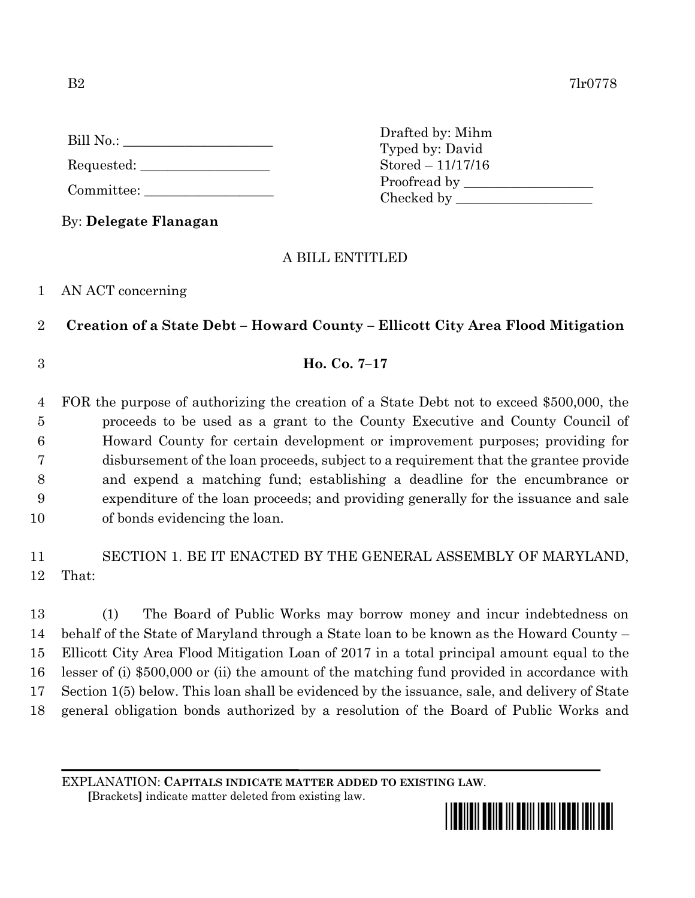| Bill No.: |  |
|-----------|--|
|           |  |

Requested: \_\_\_\_\_\_\_\_\_\_\_\_\_\_\_\_\_\_\_

Committee:

By: **Delegate Flanagan**

## A BILL ENTITLED

Drafted by: Mihm Typed by: David Stored – 11/17/16

Proofread by Checked by \_\_\_\_\_\_\_\_\_\_\_\_\_\_\_\_\_\_\_\_

## 1 AN ACT concerning

## 2 **Creation of a State Debt – Howard County – Ellicott City Area Flood Mitigation**

3 **Ho. Co. 7–17**

 FOR the purpose of authorizing the creation of a State Debt not to exceed \$500,000, the proceeds to be used as a grant to the County Executive and County Council of Howard County for certain development or improvement purposes; providing for disbursement of the loan proceeds, subject to a requirement that the grantee provide and expend a matching fund; establishing a deadline for the encumbrance or expenditure of the loan proceeds; and providing generally for the issuance and sale of bonds evidencing the loan.

# 11 SECTION 1. BE IT ENACTED BY THE GENERAL ASSEMBLY OF MARYLAND, 12 That:

 (1) The Board of Public Works may borrow money and incur indebtedness on behalf of the State of Maryland through a State loan to be known as the Howard County – Ellicott City Area Flood Mitigation Loan of 2017 in a total principal amount equal to the lesser of (i) \$500,000 or (ii) the amount of the matching fund provided in accordance with Section 1(5) below. This loan shall be evidenced by the issuance, sale, and delivery of State general obligation bonds authorized by a resolution of the Board of Public Works and

EXPLANATION: **CAPITALS INDICATE MATTER ADDED TO EXISTING LAW**.

 **[**Brackets**]** indicate matter deleted from existing law.

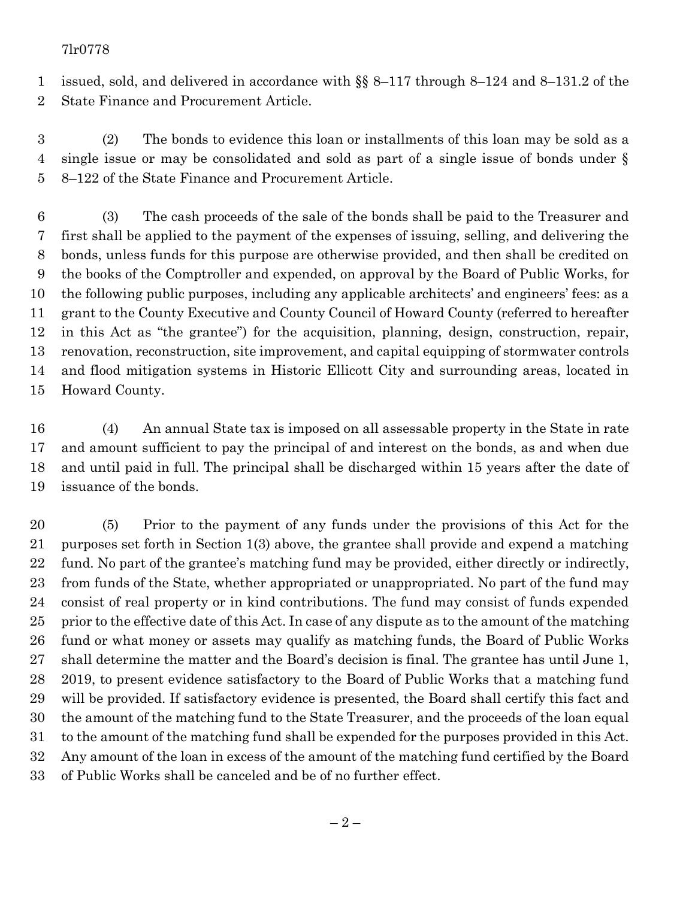#### 7lr0778

 issued, sold, and delivered in accordance with §§ 8–117 through 8–124 and 8–131.2 of the State Finance and Procurement Article.

 (2) The bonds to evidence this loan or installments of this loan may be sold as a single issue or may be consolidated and sold as part of a single issue of bonds under § 8–122 of the State Finance and Procurement Article.

 (3) The cash proceeds of the sale of the bonds shall be paid to the Treasurer and first shall be applied to the payment of the expenses of issuing, selling, and delivering the bonds, unless funds for this purpose are otherwise provided, and then shall be credited on the books of the Comptroller and expended, on approval by the Board of Public Works, for the following public purposes, including any applicable architects' and engineers' fees: as a grant to the County Executive and County Council of Howard County (referred to hereafter in this Act as "the grantee") for the acquisition, planning, design, construction, repair, renovation, reconstruction, site improvement, and capital equipping of stormwater controls and flood mitigation systems in Historic Ellicott City and surrounding areas, located in Howard County.

 (4) An annual State tax is imposed on all assessable property in the State in rate and amount sufficient to pay the principal of and interest on the bonds, as and when due and until paid in full. The principal shall be discharged within 15 years after the date of issuance of the bonds.

 (5) Prior to the payment of any funds under the provisions of this Act for the purposes set forth in Section 1(3) above, the grantee shall provide and expend a matching fund. No part of the grantee's matching fund may be provided, either directly or indirectly, from funds of the State, whether appropriated or unappropriated. No part of the fund may consist of real property or in kind contributions. The fund may consist of funds expended 25 prior to the effective date of this Act. In case of any dispute as to the amount of the matching fund or what money or assets may qualify as matching funds, the Board of Public Works shall determine the matter and the Board's decision is final. The grantee has until June 1, 2019, to present evidence satisfactory to the Board of Public Works that a matching fund will be provided. If satisfactory evidence is presented, the Board shall certify this fact and the amount of the matching fund to the State Treasurer, and the proceeds of the loan equal to the amount of the matching fund shall be expended for the purposes provided in this Act. Any amount of the loan in excess of the amount of the matching fund certified by the Board of Public Works shall be canceled and be of no further effect.